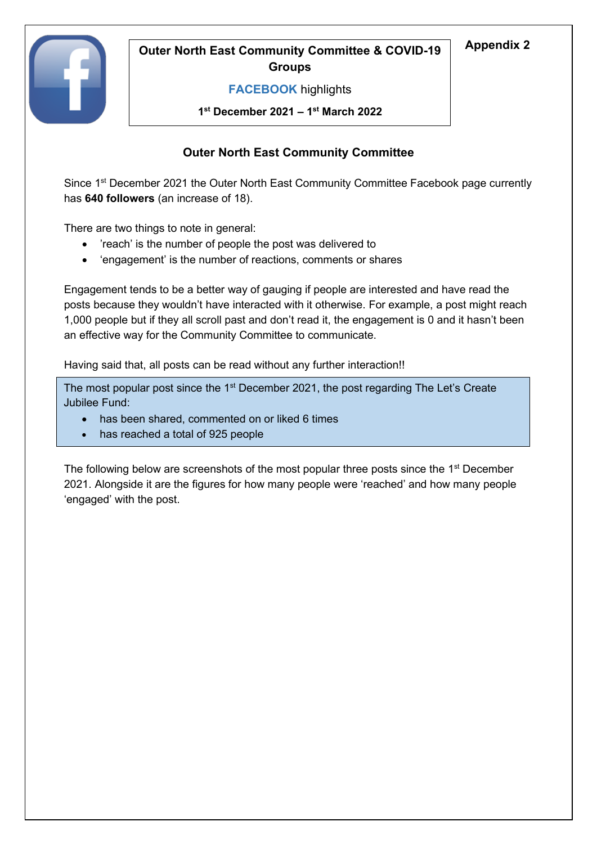

# **Appendix 2 Outer North East Community Committee & COVID-19 Groups**

## **FACEBOOK** highlights

**1 st December 2021 – 1 st March 2022**

## **Outer North East Community Committee**

Since 1<sup>st</sup> December 2021 the Outer North East Community Committee Facebook page currently has **640 followers** (an increase of 18).

There are two things to note in general:

- 'reach' is the number of people the post was delivered to
- 'engagement' is the number of reactions, comments or shares

Engagement tends to be a better way of gauging if people are interested and have read the posts because they wouldn't have interacted with it otherwise. For example, a post might reach 1,000 people but if they all scroll past and don't read it, the engagement is 0 and it hasn't been an effective way for the Community Committee to communicate.

Having said that, all posts can be read without any further interaction!!

The most popular post since the 1<sup>st</sup> December 2021, the post regarding The Let's Create Jubilee Fund:

- has been shared, commented on or liked 6 times
- has reached a total of 925 people

The following below are screenshots of the most popular three posts since the 1<sup>st</sup> December 2021. Alongside it are the figures for how many people were 'reached' and how many people 'engaged' with the post.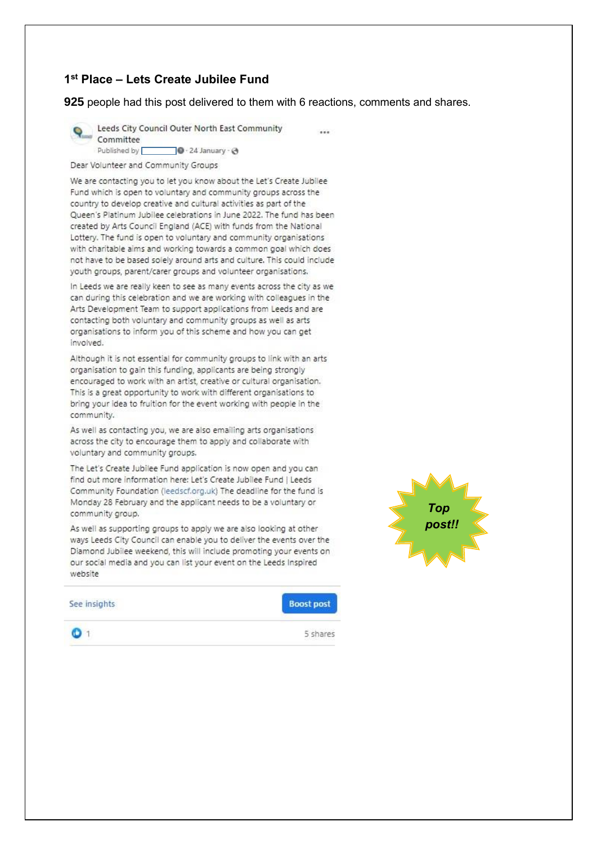### 1st Place - Lets Create Jubilee Fund

925 people had this post delivered to them with 6 reactions, comments and shares.

 $-1$ 



Leeds City Council Outer North East Community Committee Published by  $\Box$  0 · 24 January · @

Dear Volunteer and Community Groups

We are contacting you to let you know about the Let's Create Jubilee Fund which is open to voluntary and community groups across the country to develop creative and cultural activities as part of the Queen's Platinum Jubilee celebrations in June 2022. The fund has been created by Arts Council England (ACE) with funds from the National Lottery. The fund is open to voluntary and community organisations with charitable aims and working towards a common goal which does not have to be based solely around arts and culture. This could include youth groups, parent/carer groups and volunteer organisations.

In Leeds we are really keen to see as many events across the city as we can during this celebration and we are working with colleagues in the Arts Development Team to support applications from Leeds and are contacting both voluntary and community groups as well as arts organisations to inform you of this scheme and how you can get involved.

Although it is not essential for community groups to link with an arts organisation to gain this funding, applicants are being strongly encouraged to work with an artist, creative or cultural organisation. This is a great opportunity to work with different organisations to bring your idea to fruition for the event working with people in the community.

As well as contacting you, we are also emailing arts organisations across the city to encourage them to apply and collaborate with voluntary and community groups.

The Let's Create Jubilee Fund application is now open and you can find out more information here: Let's Create Jubilee Fund | Leeds Community Foundation (leedscf.org.uk) The deadline for the fund is Monday 28 February and the applicant needs to be a voluntary or community group.

As well as supporting groups to apply we are also looking at other ways Leeds City Council can enable you to deliver the events over the Diamond Jubilee weekend, this will include promoting your events on our social media and you can list your event on the Leeds Inspired website



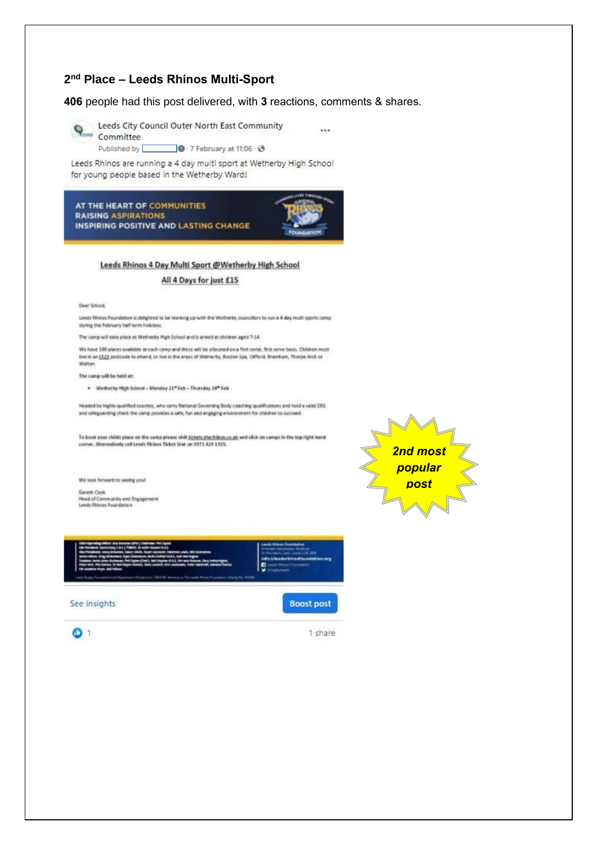### 2<sup>nd</sup> Place - Leeds Rhinos Multi-Sport

406 people had this post delivered, with 3 reactions, comments & shares.

 $\sim$ 



Leeds City Council Outer North East Community **Q**<br>Committee

Published by  $\bullet$  + 7 February at 11:06  $\cdot$   $\bullet$ 

Leeds Rhinos are running a 4 day multi sport at Wetherby High School for young people based in the Wetherby Ward!



#### Leeds Rhinos 4 Day Multi Sport @Wetherby High School

### All 4 Days for just £15

**Dear School** 

Leeds Rhinos Foundation is delighted to be teaming up with the Wetherby councillors to run a 4 day multi sports camp during the February half term holidays.

The camp will take place at Wetherley High School and is almed at children aged 7-14.

We have 100 places available at each camp and these will be allocated on a first come, first serve basis. Children must live in an [322 postcade to attend, or live in the areas of Wetherby, Boston Spa, Cafford, Bramham, Thorpe Arch or Walton

#### The camp will be held at:

. Wetherty High School - Monday 21\*Feb - Thursday 24\* Feb

Headed by highly qualified coaches, who carry National Governing Body coaching qualifications and hold a valid DBS and safeguarding check the camp provides a safe, fun and engaging environment for children to succeed.

To book your childs place on the camp please visit <u>siskets therhinos.co.uk</u> and click on camps in the top right hand<br>conner. Alternatively call Leeds Rhinos Ticket Line on 0371 423 1315.

We look forward to seeing your

Gareth Cook Head of Community and Engagement.<br>Leeds Rhinas Foundation







1 share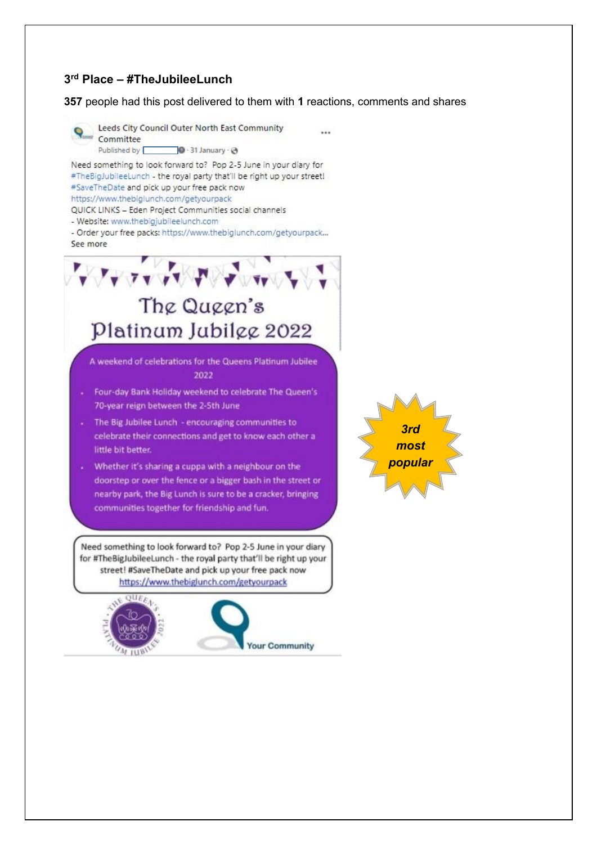### **3 rd Place – #TheJubileeLunch**

**357** people had this post delivered to them with **1** reactions, comments and shares